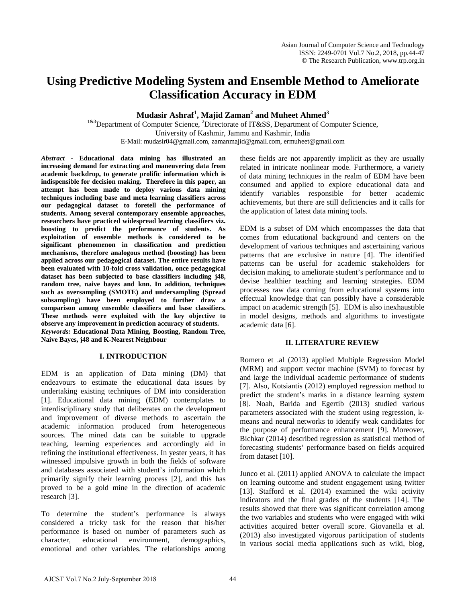# **Using Predictive Modeling System and Ensemble Method to Ameliorate Classification Accuracy in EDM**

**Mudasir Ashraf<sup>1</sup> , Majid Zaman2 and Muheet Ahmed3**

 $1^{183}$ Department of Computer Science, <sup>2</sup>Directorate of IT&SS, Department of Computer Science, University of Kashmir, Jammu and Kashmir, India E-Mail: mudasir04@gmail.com, zamanmajid@gmail.com, ermuheet@gmail.com

*Abstract -* **Educational data mining has illustrated an increasing demand for extracting and maneuvering data from academic backdrop, to generate prolific information which is indispensible for decision making. Therefore in this paper, an attempt has been made to deploy various data mining techniques including base and meta learning classifiers across our pedagogical dataset to foretell the performance of students. Among several contemporary ensemble approaches, researchers have practiced widespread learning classifiers viz. boosting to predict the performance of students. As exploitation of ensemble methods is considered to be significant phenomenon in classification and prediction mechanisms, therefore analogous method (boosting) has been applied across our pedagogical dataset. The entire results have been evaluated with 10-fold cross validation, once pedagogical dataset has been subjected to base classifiers including j48, random tree, naive bayes and knn. In addition, techniques such as oversampling (SMOTE) and undersampling (Spread subsampling) have been employed to further draw a comparison among ensemble classifiers and base classifiers. These methods were exploited with the key objective to observe any improvement in prediction accuracy of students.**  *Keywords:* **Educational Data Mining, Boosting, Random Tree, Naive Bayes, j48 and K-Nearest Neighbour**

## **I. INTRODUCTION**

EDM is an application of Data mining (DM) that endeavours to estimate the educational data issues by undertaking existing techniques of DM into consideration [1]. Educational data mining (EDM) contemplates to interdisciplinary study that deliberates on the development and improvement of diverse methods to ascertain the academic information produced from heterogeneous sources. The mined data can be suitable to upgrade teaching, learning experiences and accordingly aid in refining the institutional effectiveness. In yester years, it has witnessed impulsive growth in both the fields of software and databases associated with student's information which primarily signify their learning process [2], and this has proved to be a gold mine in the direction of academic research [3].

To determine the student's performance is always considered a tricky task for the reason that his/her performance is based on number of parameters such as character, educational environment, demographics, emotional and other variables. The relationships among these fields are not apparently implicit as they are usually related in intricate nonlinear mode. Furthermore, a variety of data mining techniques in the realm of EDM have been consumed and applied to explore educational data and identify variables responsible for better academic achievements, but there are still deficiencies and it calls for the application of latest data mining tools.

EDM is a subset of DM which encompasses the data that comes from educational background and centers on the development of various techniques and ascertaining various patterns that are exclusive in nature [4]. The identified patterns can be useful for academic stakeholders for decision making, to ameliorate student's performance and to devise healthier teaching and learning strategies. EDM processes raw data coming from educational systems into effectual knowledge that can possibly have a considerable impact on academic strength [5]. EDM is also inexhaustible in model designs, methods and algorithms to investigate academic data [6].

## **II. LITERATURE REVIEW**

Romero et .al (2013) applied Multiple Regression Model (MRM) and support vector machine (SVM) to forecast by and large the individual academic performance of students [7]. Also, Kotsiantis (2012) employed regression method to predict the student's marks in a distance learning system [8]. Noah, Barida and Egertib (2013) studied various parameters associated with the student using regression, kmeans and neural networks to identify weak candidates for the purpose of performance enhancement [9]. Moreover, Bichkar (2014) described regression as statistical method of forecasting students' performance based on fields acquired from dataset [10].

Junco et al. (2011) applied ANOVA to calculate the impact on learning outcome and student engagement using twitter [13]. Stafford et al. (2014) examined the wiki activity indicators and the final grades of the students [14]. The results showed that there was significant correlation among the two variables and students who were engaged with wiki activities acquired better overall score. Giovanella et al. (2013) also investigated vigorous participation of students in various social media applications such as wiki, blog,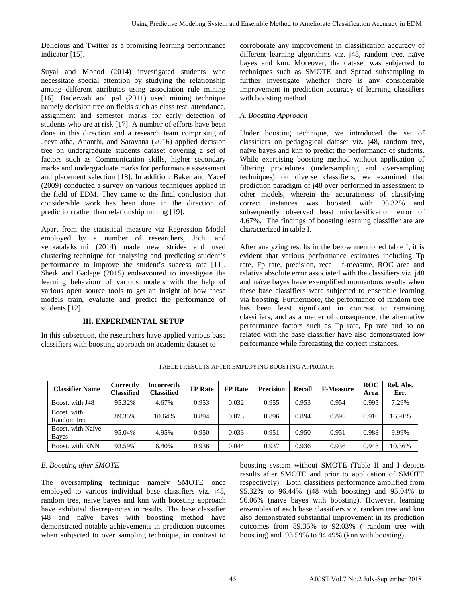## **III. EXPERIMENTAL SETUP**

## *A. Boosting Approach*

|                                                                                                                                                                                                                                                                                                                                                                                                                                    |                                       |                                         |                |         |                                                   |        | Using Predictive Modeling System and Ensemble Method to Ameliorate Classification Accuracy in EDM                                                                                                                                                                                                                                                                                                                                                                                                                               |                    |                   |
|------------------------------------------------------------------------------------------------------------------------------------------------------------------------------------------------------------------------------------------------------------------------------------------------------------------------------------------------------------------------------------------------------------------------------------|---------------------------------------|-----------------------------------------|----------------|---------|---------------------------------------------------|--------|---------------------------------------------------------------------------------------------------------------------------------------------------------------------------------------------------------------------------------------------------------------------------------------------------------------------------------------------------------------------------------------------------------------------------------------------------------------------------------------------------------------------------------|--------------------|-------------------|
| elicious and Twitter as a promising learning performance<br>dicator $[15]$ .                                                                                                                                                                                                                                                                                                                                                       |                                       |                                         |                |         |                                                   |        | corroborate any improvement in classification accuracy of<br>different learning algorithms viz. j48, random tree, naïv<br>bayes and knn. Moreover, the dataset was subjected to                                                                                                                                                                                                                                                                                                                                                 |                    |                   |
| uyal and Mohod (2014) investigated students who<br>ecessitate special attention by studying the relationship<br>mong different attributes using association rule mining<br>16]. Baderwah and pal (2011) used mining technique                                                                                                                                                                                                      |                                       |                                         |                |         | with boosting method.                             |        | techniques such as SMOTE and Spread subsampling to<br>further investigate whether there is any considerabl<br>improvement in prediction accuracy of learning classifier                                                                                                                                                                                                                                                                                                                                                         |                    |                   |
| amely decision tree on fields such as class test, attendance,<br>ssignment and semester marks for early detection of                                                                                                                                                                                                                                                                                                               |                                       |                                         |                |         | A. Boosting Approach                              |        |                                                                                                                                                                                                                                                                                                                                                                                                                                                                                                                                 |                    |                   |
| udents who are at risk [17]. A number of efforts have been<br>one in this direction and a research team comprising of<br>eevalatha, Ananthi, and Saravana (2016) applied decision<br>ee on undergraduate students dataset covering a set of<br>actors such as Communication skills, higher secondary                                                                                                                               |                                       |                                         |                |         |                                                   |        | Under boosting technique, we introduced the set of<br>classifiers on pedagogical dataset viz. j48, random tree<br>naïve bayes and knn to predict the performance of students<br>While exercising boosting method without application o                                                                                                                                                                                                                                                                                          |                    |                   |
| narks and undergraduate marks for performance assessment<br>nd placement selection [18]. In addition, Baker and Yacef<br>2009) conducted a survey on various techniques applied in<br>he field of EDM. They came to the final conclusion that                                                                                                                                                                                      |                                       |                                         |                |         |                                                   |        | filtering procedures (undersampling and oversamplin<br>techniques) on diverse classifiers, we examined that<br>prediction paradigm of j48 over performed in assessment to<br>other models, wherein the accurateness of classifyin                                                                                                                                                                                                                                                                                               |                    |                   |
| onsiderable work has been done in the direction of<br>rediction rather than relationship mining [19].                                                                                                                                                                                                                                                                                                                              |                                       |                                         |                |         |                                                   |        | correct instances was boosted with 95.32%<br>subsequently observed least misclassification error o<br>4.67%. The findings of boosting learning classifier are are                                                                                                                                                                                                                                                                                                                                                               |                    | an                |
| part from the statistical measure viz Regression Model<br>mployed by a number of researchers, Jothi and                                                                                                                                                                                                                                                                                                                            |                                       |                                         |                |         | characterized in table I.                         |        |                                                                                                                                                                                                                                                                                                                                                                                                                                                                                                                                 |                    |                   |
| enkatalakshmi (2014) made new strides and used<br>lustering technique for analysing and predicting student's<br>erformance to improve the student's success rate [11].<br>heik and Gadage (2015) endeavoured to investigate the<br>earning behaviour of various models with the help of<br>arious open source tools to get an insight of how these<br>nodels train, evaluate and predict the performance of                        |                                       |                                         |                |         |                                                   |        | After analyzing results in the below mentioned table I, it i<br>evident that various performance estimates including T<br>rate, Fp rate, precision, recall, f-measure, ROC area and<br>relative absolute error associated with the classifiers viz. j4<br>and naïve bayes have exemplified momentous results whe<br>these base classifiers were subjected to ensemble learning<br>via boosting. Furthermore, the performance of random tre                                                                                      |                    |                   |
| udents $[12]$ .                                                                                                                                                                                                                                                                                                                                                                                                                    |                                       |                                         |                |         |                                                   |        | has been least significant in contrast to remaining<br>classifiers, and as a matter of consequence, the alternativ                                                                                                                                                                                                                                                                                                                                                                                                              |                    |                   |
|                                                                                                                                                                                                                                                                                                                                                                                                                                    |                                       | <b>III. EXPERIMENTAL SETUP</b>          |                |         |                                                   |        | performance factors such as Tp rate, Fp rate and so of<br>related with the base classifier have also demonstrated lov                                                                                                                                                                                                                                                                                                                                                                                                           |                    |                   |
| i this subsection, the researchers have applied various base<br>lassifiers with boosting approach on academic dataset to                                                                                                                                                                                                                                                                                                           |                                       |                                         |                |         |                                                   |        | performance while forecasting the correct instances.                                                                                                                                                                                                                                                                                                                                                                                                                                                                            |                    |                   |
|                                                                                                                                                                                                                                                                                                                                                                                                                                    |                                       |                                         |                |         | TABLE I RESULTS AFTER EMPLOYING BOOSTING APPROACH |        |                                                                                                                                                                                                                                                                                                                                                                                                                                                                                                                                 |                    |                   |
| <b>Classifier Name</b>                                                                                                                                                                                                                                                                                                                                                                                                             | <b>Correctly</b><br><b>Classified</b> | <b>Incorrectly</b><br><b>Classified</b> | <b>TP</b> Rate | FP Rate | <b>Precision</b>                                  | Recall | <b>F-Measure</b>                                                                                                                                                                                                                                                                                                                                                                                                                                                                                                                | <b>ROC</b><br>Area | Rel. Abs.<br>Err. |
| Boost. with J48                                                                                                                                                                                                                                                                                                                                                                                                                    | 95.32%                                | 4.67%                                   | 0.953          | 0.032   | 0.955                                             | 0.953  | 0.954                                                                                                                                                                                                                                                                                                                                                                                                                                                                                                                           | 0.995              | 7.29%             |
| Boost. with<br>Random tree                                                                                                                                                                                                                                                                                                                                                                                                         | 89.35%                                | 10.64%                                  | 0.894          | 0.073   | 0.896                                             | 0.894  | 0.895                                                                                                                                                                                                                                                                                                                                                                                                                                                                                                                           | 0.910              | 16.91%            |
| Boost. with Naïve<br><b>Bayes</b>                                                                                                                                                                                                                                                                                                                                                                                                  | 95.04%                                | 4.95%                                   | 0.950          | 0.033   | 0.951                                             | 0.950  | 0.951                                                                                                                                                                                                                                                                                                                                                                                                                                                                                                                           | 0.988              | 9.99%             |
| Boost. with KNN                                                                                                                                                                                                                                                                                                                                                                                                                    | 93.59%                                | 6.40%                                   | 0.936          | 0.044   | 0.937                                             | 0.936  | 0.936                                                                                                                                                                                                                                                                                                                                                                                                                                                                                                                           | 0.948              | 10.36%            |
| . Boosting after SMOTE<br>he oversampling technique namely SMOTE once<br>mployed to various individual base classifiers viz. j48,<br>andom tree, naïve bayes and knn with boosting approach<br>ave exhibited discrepancies in results. The base classifier<br>48 and naïve bayes with boosting method have<br>emonstrated notable achievements in prediction outcomes<br>then subjected to over sampling technique, in contrast to |                                       |                                         |                |         |                                                   |        | boosting system without SMOTE (Table II and I depict<br>results after SMOTE and prior to application of SMOTI<br>respectively). Both classifiers performance amplified from<br>95.32% to 96.44% (j48 with boosting) and 95.04% t<br>96.06% (naïve bayes with boosting). However, learnin<br>ensembles of each base classifiers viz. random tree and kn<br>also demonstrated substantial improvement in its prediction<br>outcomes from 89.35% to 92.03% (random tree wit<br>boosting) and 93.59% to 94.49% (knn with boosting). |                    |                   |
|                                                                                                                                                                                                                                                                                                                                                                                                                                    |                                       |                                         |                | 45      |                                                   |        | AJCST Vol.7 No.2 July-September 2018                                                                                                                                                                                                                                                                                                                                                                                                                                                                                            |                    |                   |

TABLE I RESULTS AFTER EMPLOYING BOOSTING APPROACH

# *B. Boosting after SMOTE*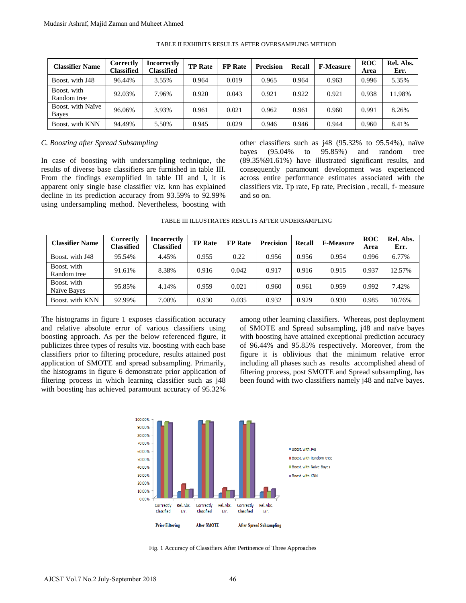| <b>Classifier Name</b>     | Correctly<br>Classified | <b>Incorrectly</b><br>Classified | <b>TP Rate</b> | <b>FP</b> Rate | <b>Precision</b> | <b>Recall</b> | <b>F-Measure</b> | <b>ROC</b><br>Area | Rel. Abs.<br>Err. |
|----------------------------|-------------------------|----------------------------------|----------------|----------------|------------------|---------------|------------------|--------------------|-------------------|
| Boost, with J48            | 96.44%                  | 3.55%                            | 0.964          | 0.019          | 0.965            | 0.964         | 0.963            | 0.996              | 5.35%             |
| Boost. with<br>Random tree | 92.03%                  | 7.96%                            | 0.920          | 0.043          | 0.921            | 0.922         | 0.921            | 0.938              | 11.98%            |
| Boost, with Naïve<br>Bayes | 96.06%                  | 3.93%                            | 0.961          | 0.021          | 0.962            | 0.961         | 0.960            | 0.991              | 8.26%             |
| Boost, with KNN            | 94.49%                  | 5.50%                            | 0.945          | 0.029          | 0.946            | 0.946         | 0.944            | 0.960              | 8.41%             |

#### TABLE II EXHIBITS RESULTS AFTER OVERSAMPLING METHOD

## *C. Boosting after Spread Subsampling*

## TABLE III ILLUSTRATES RESULTS AFTER UNDERSAMPLING

| <b>Classifier Name</b>                                                                                                                                                                                                                                                                                                                                                                                                                                                                                                                                               | Correctly<br><b>Classified</b>                                                          | <b>Incorrectly</b><br><b>Classified</b>      | <b>TP Rate</b>                   | <b>FP</b> Rate          | Precision                                                             | Recall                                                                                                         | <b>F-Measure</b>                                                                                                                                                                                                                                                                                                                                                    | <b>ROC</b><br>Area | Rel. Abs.<br>Err. |
|----------------------------------------------------------------------------------------------------------------------------------------------------------------------------------------------------------------------------------------------------------------------------------------------------------------------------------------------------------------------------------------------------------------------------------------------------------------------------------------------------------------------------------------------------------------------|-----------------------------------------------------------------------------------------|----------------------------------------------|----------------------------------|-------------------------|-----------------------------------------------------------------------|----------------------------------------------------------------------------------------------------------------|---------------------------------------------------------------------------------------------------------------------------------------------------------------------------------------------------------------------------------------------------------------------------------------------------------------------------------------------------------------------|--------------------|-------------------|
| Boost. with J48                                                                                                                                                                                                                                                                                                                                                                                                                                                                                                                                                      | 96.44%                                                                                  | 3.55%                                        | 0.964                            | 0.019                   | 0.965                                                                 | 0.964                                                                                                          | 0.963                                                                                                                                                                                                                                                                                                                                                               | 0.996              | 5.35%             |
| Boost. with<br>Random tree                                                                                                                                                                                                                                                                                                                                                                                                                                                                                                                                           | 92.03%                                                                                  | 7.96%                                        | 0.920                            | 0.043                   | 0.921                                                                 | 0.922                                                                                                          | 0.921                                                                                                                                                                                                                                                                                                                                                               | 0.938              | 11.98%            |
| Boost. with Naïve<br><b>Bayes</b>                                                                                                                                                                                                                                                                                                                                                                                                                                                                                                                                    | 96.06%                                                                                  | 3.93%                                        | 0.961                            | 0.021                   | 0.962                                                                 | 0.961                                                                                                          | 0.960                                                                                                                                                                                                                                                                                                                                                               | 0.991              | 8.26%             |
| Boost. with KNN                                                                                                                                                                                                                                                                                                                                                                                                                                                                                                                                                      | 94.49%                                                                                  | 5.50%                                        | 0.945                            | 0.029                   | 0.946                                                                 | 0.946                                                                                                          | 0.944                                                                                                                                                                                                                                                                                                                                                               | 0.960              | 8.41%             |
| <b>E. Boosting after Spread Subsampling</b><br>in case of boosting with undersampling technique, the<br>esults of diverse base classifiers are furnished in table III.<br>From the findings exemplified in table III and I, it is<br>pparent only single base classifier viz. knn has explained<br>lecline in its prediction accuracy from 93.59% to 92.99%<br>ising undersampling method. Nevertheless, boosting with                                                                                                                                               |                                                                                         |                                              |                                  | bayes                   | (95.04%<br>and so on.                                                 | to                                                                                                             | other classifiers such as $j48$ (95.32% to 95.54%), naïvely<br>95.85%)<br>(89.35%91.61%) have illustrated significant results, an<br>consequently paramount development was experience<br>across entire performance estimates associated with th<br>classifiers viz. Tp rate, Fp rate, Precision, recall, f- measure                                                | and                | random            |
| <b>Classifier Name</b>                                                                                                                                                                                                                                                                                                                                                                                                                                                                                                                                               | Correctly                                                                               | <b>Incorrectly</b>                           | <b>TP Rate</b>                   | <b>FP</b> Rate          | TABLE III ILLUSTRATES RESULTS AFTER UNDERSAMPLING<br><b>Precision</b> | Recall                                                                                                         | <b>F-Measure</b>                                                                                                                                                                                                                                                                                                                                                    | <b>ROC</b>         | Rel. Abs.         |
| Boost. with J48                                                                                                                                                                                                                                                                                                                                                                                                                                                                                                                                                      | <b>Classified</b><br>95.54%                                                             | <b>Classified</b><br>4.45%                   | 0.955                            | 0.22                    | 0.956                                                                 | 0.956                                                                                                          | 0.954                                                                                                                                                                                                                                                                                                                                                               | Area<br>0.996      | Err.<br>6.77%     |
| Boost. with                                                                                                                                                                                                                                                                                                                                                                                                                                                                                                                                                          | 91.61%                                                                                  | 8.38%                                        | 0.916                            | 0.042                   | 0.917                                                                 | 0.916                                                                                                          | 0.915                                                                                                                                                                                                                                                                                                                                                               | 0.937              | 12.57%            |
| Random tree<br>Boost. with<br>Naïve Bayes                                                                                                                                                                                                                                                                                                                                                                                                                                                                                                                            | 95.85%                                                                                  | 4.14%                                        | 0.959                            | 0.021                   | 0.960                                                                 | 0.961                                                                                                          | 0.959                                                                                                                                                                                                                                                                                                                                                               | 0.992              | 7.42%             |
| Boost. with KNN                                                                                                                                                                                                                                                                                                                                                                                                                                                                                                                                                      | 92.99%                                                                                  | 7.00%                                        | 0.930                            | 0.035                   | 0.932                                                                 | 0.929                                                                                                          | 0.930                                                                                                                                                                                                                                                                                                                                                               | 0.985              | 10.76%            |
|                                                                                                                                                                                                                                                                                                                                                                                                                                                                                                                                                                      |                                                                                         |                                              |                                  |                         |                                                                       |                                                                                                                | among other learning classifiers. Whereas, post deploymer<br>of SMOTE and Spread subsampling, j48 and naïve baye                                                                                                                                                                                                                                                    |                    |                   |
| The histograms in figure 1 exposes classification accuracy<br>nd relative absolute error of various classifiers using<br>oosting approach. As per the below referenced figure, it<br>ublicizes three types of results viz. boosting with each base<br>lassifiers prior to filtering procedure, results attained post<br>pplication of SMOTE and spread subsampling. Primarily,<br>he histograms in figure 6 demonstrate prior application of<br>iltering process in which learning classifier such as j48<br>with boosting has achieved paramount accuracy of 95.32% | 100.00%<br>90.00%<br>80.00%<br>70.00%<br>60.00%<br>50.00%<br>40.00%<br>30.00%<br>20.00% |                                              |                                  |                         |                                                                       | Boost. with J48<br><b>Boost.</b> with Random tree<br><b>Boost.</b> with Naïve Bayes<br><b>Boost</b> , with KNN | with boosting have attained exceptional prediction accurac<br>of 96.44% and 95.85% respectively. Moreover, from th<br>figure it is oblivious that the minimum relative error<br>including all phases such as results accomplished ahead o<br>filtering process, post SMOTE and Spread subsampling, has<br>been found with two classifiers namely j48 and naïve baye |                    |                   |
|                                                                                                                                                                                                                                                                                                                                                                                                                                                                                                                                                                      | 10.00%                                                                                  | 0.00%<br>Corrrectly<br>Rel. Abs.             | Corrrectly                       | Rel. Abs.<br>Corrrectly | Rel. Abs.                                                             |                                                                                                                |                                                                                                                                                                                                                                                                                                                                                                     |                    |                   |
|                                                                                                                                                                                                                                                                                                                                                                                                                                                                                                                                                                      |                                                                                         | Classified<br>Err.<br><b>Prior Filtering</b> | Classified<br><b>After SMOTE</b> | Err.<br>Classified      | Err.<br><b>After Spread Subsampling</b>                               |                                                                                                                |                                                                                                                                                                                                                                                                                                                                                                     |                    |                   |



Fig. 1 Accuracy of Classifiers After Pertinence of Three Approaches